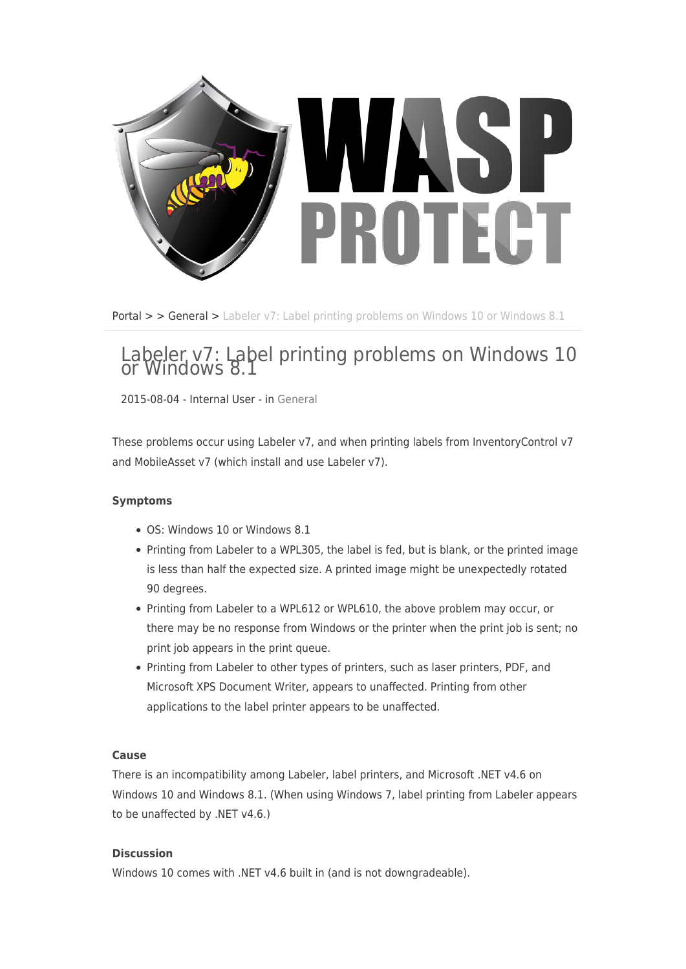

[Portal](http://support.waspbarcode.com/) > > [General](http://support.waspbarcode.com/news/general) > [Labeler v7: Label printing problems on Windows 10 or Windows 8.1](http://support.waspbarcode.com/news/posts/labeler-v7-label-printing-problems-on-windows-10-or-windows-8-1)

# Labeler v7: Label printing problems on Windows 10<br>or Windows 8.1

2015-08-04 - Internal User - in [General](http://support.waspbarcode.com/news/general)

These problems occur using Labeler v7, and when printing labels from InventoryControl v7 and MobileAsset v7 (which install and use Labeler v7).

### **Symptoms**

- OS: Windows 10 or Windows 8.1
- Printing from Labeler to a WPL305, the label is fed, but is blank, or the printed image is less than half the expected size. A printed image might be unexpectedly rotated 90 degrees.
- Printing from Labeler to a WPL612 or WPL610, the above problem may occur, or there may be no response from Windows or the printer when the print job is sent; no print job appears in the print queue.
- Printing from Labeler to other types of printers, such as laser printers, PDF, and Microsoft XPS Document Writer, appears to unaffected. Printing from other applications to the label printer appears to be unaffected.

### **Cause**

There is an incompatibility among Labeler, label printers, and Microsoft .NET v4.6 on Windows 10 and Windows 8.1. (When using Windows 7, label printing from Labeler appears to be unaffected by .NET v4.6.)

### **Discussion**

Windows 10 comes with .NET v4.6 built in (and is not downgradeable).